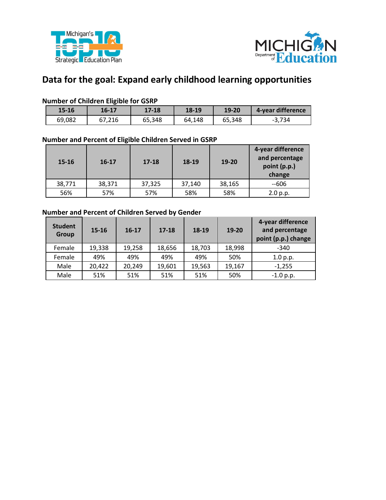



# **Data for the goal: Expand early childhood learning opportunities**

#### **Number of Children Eligible for GSRP**

| $15 - 16$ | 16-17  | $17 - 18$ | 18-19  | 19-20  | 4-year difference |
|-----------|--------|-----------|--------|--------|-------------------|
| 69,082    | 67,216 | 65,348    | 64,148 | 65,348 | $-3.734$          |

#### **Number and Percent of Eligible Children Served in GSRP**

| $15 - 16$ | $16 - 17$ | $17-18$ | 18-19  | 19-20  | 4-year difference<br>and percentage<br>point (p.p.)<br>change |  |
|-----------|-----------|---------|--------|--------|---------------------------------------------------------------|--|
| 38,771    | 38,371    | 37,325  | 37,140 | 38,165 | $-606$                                                        |  |
| 56%       | 57%       | 57%     | 58%    | 58%    | 2.0 p.p.                                                      |  |

## **Number and Percent of Children Served by Gender**

| <b>Student</b><br>Group | $15 - 16$ | $16 - 17$ | $17 - 18$ | 18-19  | 19-20  | 4-year difference<br>and percentage<br>point (p.p.) change |
|-------------------------|-----------|-----------|-----------|--------|--------|------------------------------------------------------------|
| Female                  | 19,338    | 19,258    | 18,656    | 18,703 | 18,998 | $-340$                                                     |
| Female                  | 49%       | 49%       | 49%       | 49%    | 50%    | 1.0 p.p.                                                   |
| Male                    | 20,422    | 20,249    | 19,601    | 19,563 | 19,167 | $-1.255$                                                   |
| Male                    | 51%       | 51%       | 51%       | 51%    | 50%    | $-1.0 p.p.$                                                |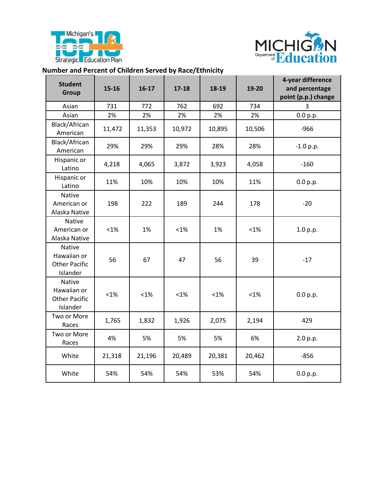



## **Number and Percent of Children Served by Race/Ethnicity**

| <b>Student</b><br>Group                                   | $15 - 16$ | $16-17$ | $17 - 18$ | 18-19   | 19-20  | 4-year difference<br>and percentage<br>point (p.p.) change |  |
|-----------------------------------------------------------|-----------|---------|-----------|---------|--------|------------------------------------------------------------|--|
| Asian                                                     | 731       | 772     | 762       | 692     | 734    | 3                                                          |  |
| Asian                                                     | 2%        | 2%      | 2%        | 2%      | 2%     | 0.0 p.p.                                                   |  |
| Black/African<br>American                                 | 11,472    | 11,353  | 10,972    | 10,895  | 10,506 | $-966$                                                     |  |
| Black/African<br>American                                 | 29%       | 29%     | 29%       | 28%     | 28%    | $-1.0 p.p.$                                                |  |
| Hispanic or<br>Latino                                     | 4,218     | 4,065   | 3,872     | 3,923   | 4,058  | $-160$                                                     |  |
| Hispanic or<br>Latino                                     | 11%       | 10%     | 10%       | 10%     | 11%    | 0.0 p.p.                                                   |  |
| Native<br>American or<br>Alaska Native                    | 198       | 222     | 189       | 244     | 178    | $-20$                                                      |  |
| <b>Native</b><br>American or<br>Alaska Native             | $< 1\%$   | 1%      | $< 1\%$   | 1%      | $<1\%$ | 1.0 p.p.                                                   |  |
| Native<br>Hawaiian or<br><b>Other Pacific</b><br>Islander | 56        | 67      | 47        | 56      | 39     | $-17$                                                      |  |
| Native<br>Hawaiian or<br><b>Other Pacific</b><br>Islander | $< 1\%$   | $< 1\%$ | $<1\%$    | $< 1\%$ | $<1\%$ | 0.0 p.p.                                                   |  |
| Two or More<br>Races                                      | 1,765     | 1,832   | 1,926     | 2,075   | 2,194  | 429                                                        |  |
| Two or More<br>Races                                      | 4%        | 5%      | 5%        | 5%      | 6%     | 2.0 p.p.                                                   |  |
| White                                                     | 21,318    | 21,196  | 20,489    | 20,381  | 20,462 | $-856$                                                     |  |
| White                                                     | 54%       | 54%     | 54%       | 53%     | 54%    | 0.0 p.p.                                                   |  |